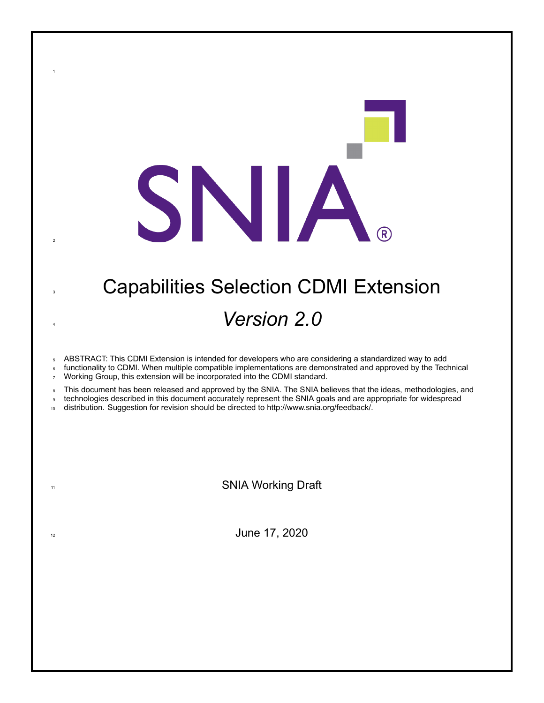# **3 Capabilities Selection CDMI Extension** *Version 2.0*

SNIA.

ABSTRACT: This CDMI Extension is intended for developers who are considering a standardized way to add

 functionality to CDMI. When multiple compatible implementations are demonstrated and approved by the Technical Working Group, this extension will be incorporated into the CDMI standard.

8 This document has been released and approved by the SNIA. The SNIA believes that the ideas, methodologies, and

technologies described in this document accurately represent the SNIA goals and are appropriate for widespread

distribution. Suggestion for revision should be directed to http://www.snia.org/feedback/.

11 SNIA Working Draft

 $\frac{1}{2}$  June 17, 2020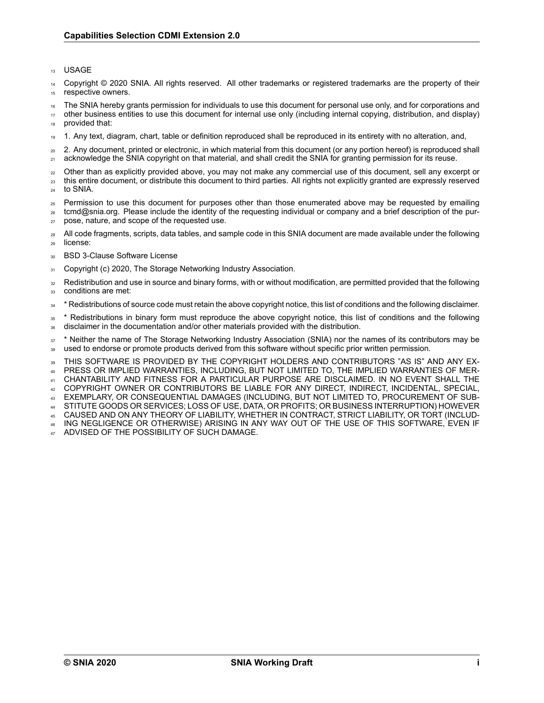#### <sup>13</sup> USAGE

Copyright © 2020 SNIA. All rights reserved. All other trademarks or registered trademarks are the property of their 15 respective owners.

<sup>16</sup> The SNIA hereby grants permission for individuals to use this document for personal use only, and for corporations and

<sup>17</sup> other business entities to use this document for internal use only (including internal copying, distribution, and display) provided that:

<sup>19</sup> 1. Any text, diagram, chart, table or definition reproduced shall be reproduced in its entirety with no alteration, and,

<sup>20</sup> 2. Any document, printed or electronic, in which material from this document (or any portion hereof) is reproduced shall <sub>21</sub> acknowledge the SNIA copyright on that material, and shall credit the SNIA for granting permission for its reuse.

- <sub>22</sub> Other than as explicitly provided above, you may not make any commercial use of this document, sell any excerpt or <sup>23</sup> this entire document, or distribute this document to third parties. All rights not explicitly granted are expressly reserved
- <sup>24</sup> to SNIA.
- <sup>25</sup> Permission to use this document for purposes other than those enumerated above may be requested by emailing <sup>26</sup> tcmd@snia.org. Please include the identity of the requesting individual or company and a brief description of the pur-
- <sup>27</sup> pose, nature, and scope of the requested use.
- 28 All code fragments, scripts, data tables, and sample code in this SNIA document are made available under the following <sup>29</sup> license:
- <sup>30</sup> BSD 3-Clause Software License
- 31 Copyright (c) 2020, The Storage Networking Industry Association.
- <sup>32</sup> Redistribution and use in source and binary forms, with or without modification, are permitted provided that the following 33 conditions are met:
- <sup>34</sup> \* Redistributions of source code must retain the above copyright notice, this list of conditions and the following disclaimer.
- <sup>35</sup> \* Redistributions in binary form must reproduce the above copyright notice, this list of conditions and the following <sup>36</sup> disclaimer in the documentation and/or other materials provided with the distribution.

<sup>37</sup> \* Neither the name of The Storage Networking Industry Association (SNIA) nor the names of its contributors may be 38 used to endorse or promote products derived from this software without specific prior written permission.

<sup>39</sup> THIS SOFTWARE IS PROVIDED BY THE COPYRIGHT HOLDERS AND CONTRIBUTORS "AS IS" AND ANY EX-<sup>40</sup> PRESS OR IMPLIED WARRANTIES, INCLUDING, BUT NOT LIMITED TO, THE IMPLIED WARRANTIES OF MER-

<sup>41</sup> CHANTABILITY AND FITNESS FOR A PARTICULAR PURPOSE ARE DISCLAIMED. IN NO EVENT SHALL THE

<sup>42</sup> COPYRIGHT OWNER OR CONTRIBUTORS BE LIABLE FOR ANY DIRECT, INDIRECT, INCIDENTAL, SPECIAL,

- <sup>43</sup> EXEMPLARY, OR CONSEQUENTIAL DAMAGES (INCLUDING, BUT NOT LIMITED TO, PROCUREMENT OF SUB-
- <sup>44</sup> STITUTE GOODS OR SERVICES; LOSS OF USE, DATA, OR PROFITS; OR BUSINESS INTERRUPTION) HOWEVER
- <sup>45</sup> CAUSED AND ON ANY THEORY OF LIABILITY, WHETHER IN CONTRACT, STRICT LIABILITY, OR TORT (INCLUD-<sup>46</sup> ING NEGLIGENCE OR OTHERWISE) ARISING IN ANY WAY OUT OF THE USE OF THIS SOFTWARE, EVEN IF
- ADVISED OF THE POSSIBILITY OF SUCH DAMAGE.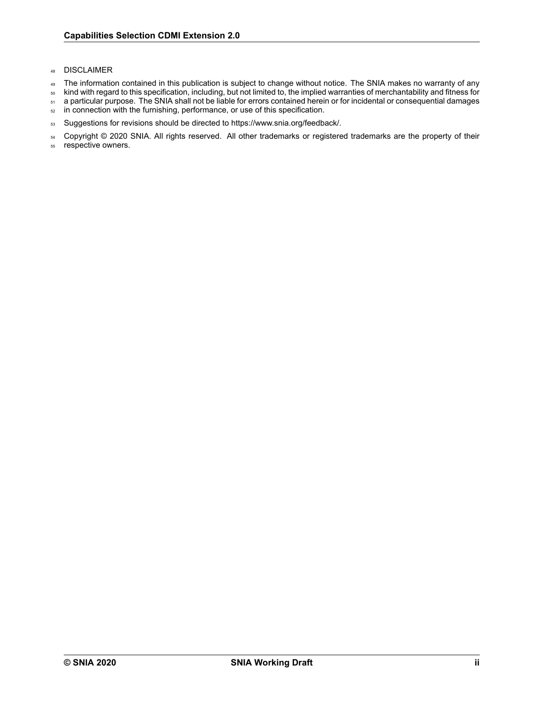### <sup>48</sup> DISCLAIMER

- 49 The information contained in this publication is subject to change without notice. The SNIA makes no warranty of any
- <sup>50</sup> kind with regard to this specification, including, but not limited to, the implied warranties of merchantability and fitness for
- 51 a particular purpose. The SNIA shall not be liable for errors contained herein or for incidental or consequential damages
- 52 in connection with the furnishing, performance, or use of this specification.
- 53 Suggestions for revisions should be directed to https://www.snia.org/feedback/.

54 Copyright © 2020 SNIA. All rights reserved. All other trademarks or registered trademarks are the property of their

<sup>55</sup> respective owners.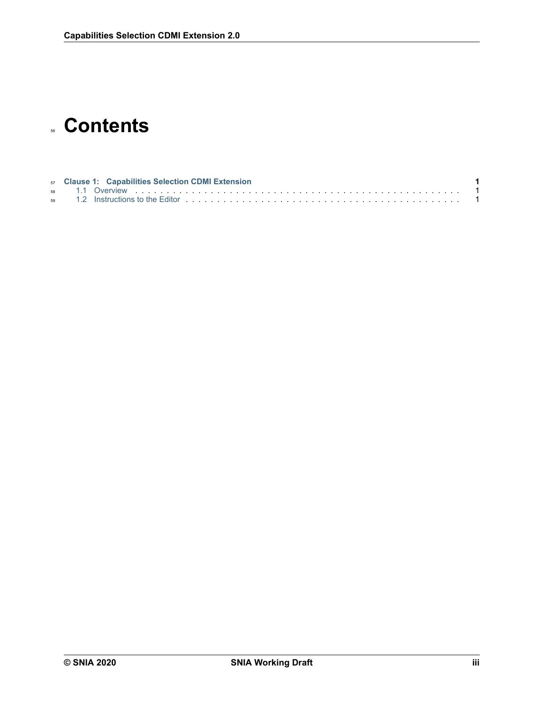# **Contents**

|  | 57 Clause 1: Capabilities Selection CDMI Extension |  |
|--|----------------------------------------------------|--|
|  |                                                    |  |
|  |                                                    |  |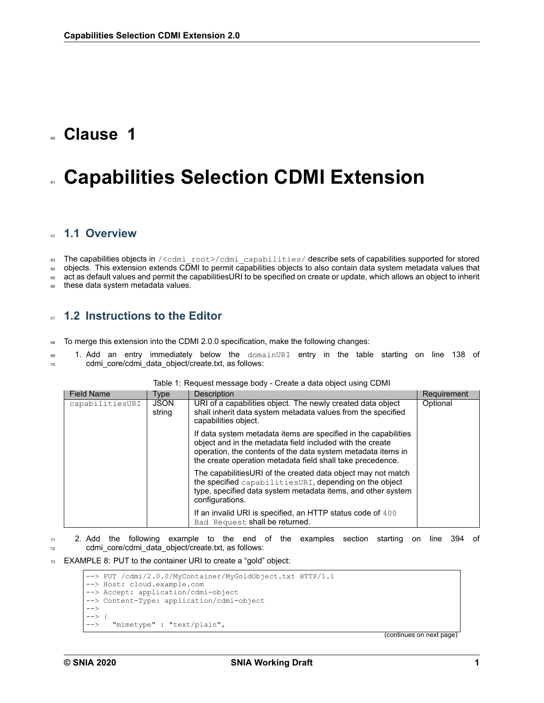### <span id="page-4-0"></span><sup>60</sup> **Clause 1**

## **Capabilities Selection CDMI Extension**

### <span id="page-4-1"></span><sup>62</sup> **1.1 Overview**

63 The capabilities objects in /<cdmi\_root>/cdmi\_capabilities/ describe sets of capabilities supported for stored 64 objects. This extension extends CDMI to permit capabilities objects to also contain data system metadata values that

65 act as default values and permit the capabilitiesURI to be specified on create or update, which allows an object to inherit

66 these data system metadata values.

### <span id="page-4-2"></span><sup>67</sup> **1.2 Instructions to the Editor**

68 To merge this extension into the CDMI 2.0.0 specification, make the following changes:

69 1. Add an entry immediately below the domainURI entry in the table starting on line 138 of <sup>70</sup> cdmi\_core/cdmi\_data\_object/create.txt, as follows:

| <b>Field Name</b> | Type                  | Description                                                                                                                                                                                                                                                | Requirement |
|-------------------|-----------------------|------------------------------------------------------------------------------------------------------------------------------------------------------------------------------------------------------------------------------------------------------------|-------------|
| capabilitiesURI   | <b>JSON</b><br>string | URI of a capabilities object. The newly created data object<br>shall inherit data system metadata values from the specified<br>capabilities object.                                                                                                        | Optional    |
|                   |                       | If data system metadata items are specified in the capabilities<br>object and in the metadata field included with the create<br>operation, the contents of the data system metadata items in<br>the create operation metadata field shall take precedence. |             |
|                   |                       | The capabilitiesURI of the created data object may not match<br>the specified capabilitiesURI, depending on the object<br>type, specified data system metadata items, and other system<br>configurations.                                                  |             |
|                   |                       | If an invalid URI is specified, an HTTP status code of 400<br>Bad Request shall be returned.                                                                                                                                                               |             |

#### Table 1: Request message body - Create a data object using CDMI

 $71$  2. Add the following example to the end of the examples section starting on line 394 of <sup>72</sup> cdmi core/cdmi data object/create.txt, as follows:

73 EXAMPLE 8: PUT to the container URI to create a "gold" object:

```
--> PUT /cdmi/2.0.0/MyContainer/MyGoldObject.txt HTTP/1.1
--> Host: cloud.example.com
--> Accept: application/cdmi-object
--> Content-Type: application/cdmi-object
\rightarrow\rightarrow--> "mimetype" : "text/plain",
```
(continues on next page)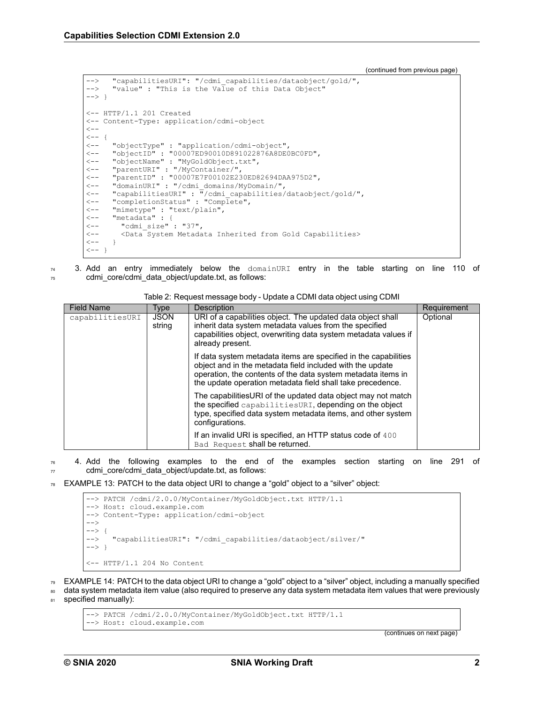(continued from previous page)

```
--> "capabilitiesURI": "/cdmi_capabilities/dataobject/gold/",<br>--> "value": "This is the Value of this Data Object"
       "value" : "This is the Value of this Data Object"
--> }
<-- HTTP/1.1 201 Created
<-- Content-Type: application/cdmi-object
\lt -<br><--<br><---<br><---<-- "objectType" : "application/cdmi-object",
<-- "objectID" : "00007ED90010D891022876A8DE0BC0FD",
<-- "objectName" : "MyGoldObject.txt",<br><-- "parentURI" : "/MyContainer/",
       "parentURI" : "/MyContainer/",
<-- "parentID" : "00007E7F00102E230ED82694DAA975D2",
       "domainURI" : "/cdmi_domains/MyDomain/",
<-- "capabilitiesURI" : "/cdmi_capabilities/dataobject/gold/",<br><-- "completionStatus" : "Complete",
       "completionStatus" : "Complete",
<-- "mimetype" : "text/plain",
       "metadata" : {
<-- "cdmi_size" : "37",
          <Data System Metadata Inherited from Gold Capabilities>
\leftarrow - }
\leftarrow - }
```
 $74$  3. Add an entry immediately below the domainURI entry in the table starting on line 110 of <sup>75</sup> cdmi\_core/cdmi\_data\_object/update.txt, as follows:

| <b>Field Name</b> | Type                  | Description                                                                                                                                                                                                                                                | Requirement |
|-------------------|-----------------------|------------------------------------------------------------------------------------------------------------------------------------------------------------------------------------------------------------------------------------------------------------|-------------|
| capabilitiesURI   | <b>JSON</b><br>string | URI of a capabilities object. The updated data object shall<br>inherit data system metadata values from the specified<br>capabilities object, overwriting data system metadata values if<br>already present.                                               | Optional    |
|                   |                       | If data system metadata items are specified in the capabilities<br>object and in the metadata field included with the update<br>operation, the contents of the data system metadata items in<br>the update operation metadata field shall take precedence. |             |
|                   |                       | The capabilitiesURI of the updated data object may not match<br>the specified capabilitiesURI, depending on the object<br>type, specified data system metadata items, and other system<br>configurations.                                                  |             |
|                   |                       | If an invalid URI is specified, an HTTP status code of 400<br>Bad Request shall be returned.                                                                                                                                                               |             |

Table 2: Request message body - Update a CDMI data object using CDMI

 $76$  4. Add the following examples to the end of the examples section starting on line 291 of <sub>77</sub> cdmi\_core/cdmi\_data\_object/update.txt, as follows:

 $78$  EXAMPLE 13: PATCH to the data object URI to change a "gold" object to a "silver" object:

```
--> PATCH /cdmi/2.0.0/MyContainer/MyGoldObject.txt HTTP/1.1
--> Host: cloud.example.com
--> Content-Type: application/cdmi-object
-->
--> {
      "capabilitiesURI": "/cdmi capabilities/dataobject/silver/"
--> 3<-- HTTP/1.1 204 No Content
```
<sup>79</sup> EXAMPLE 14: PATCH to the data object URI to change a "gold" object to a "silver" object, including a manually specified

<sup>80</sup> data system metadata item value (also required to preserve any data system metadata item values that were previously 81 specified manually):

--> PATCH /cdmi/2.0.0/MyContainer/MyGoldObject.txt HTTP/1.1 --> Host: cloud.example.com

(continues on next page)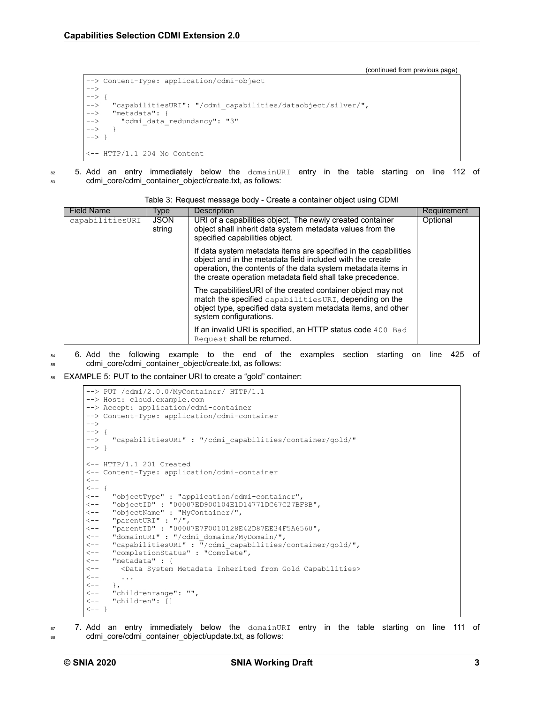(continued from previous page)

```
--> Content-Type: application/cdmi-object
-->
\leftarrow > {
--> "capabilitiesURI": "/cdmi_capabilities/dataobject/silver/",<br>--> "metadata": {
       "metadata": {
--> "cdmi_data_redundancy": "3"
\leftarrow > }
-->}
<-- HTTP/1.1 204 No Content
```
82 5. Add an entry immediately below the domainURI entry in the table starting on line 112 of 83 cdmi\_core/cdmi\_container\_object/create.txt, as follows:

| <b>Field Name</b> | Type                  | <b>Description</b>                                                                                                                                                                                                                                         | Requirement |
|-------------------|-----------------------|------------------------------------------------------------------------------------------------------------------------------------------------------------------------------------------------------------------------------------------------------------|-------------|
| capabilitiesURI   | <b>JSON</b><br>string | URI of a capabilities object. The newly created container<br>object shall inherit data system metadata values from the<br>specified capabilities object.                                                                                                   | Optional    |
|                   |                       | If data system metadata items are specified in the capabilities<br>object and in the metadata field included with the create<br>operation, the contents of the data system metadata items in<br>the create operation metadata field shall take precedence. |             |
|                   |                       | The capabilitiesURI of the created container object may not<br>match the specified capabilitiesURI, depending on the<br>object type, specified data system metadata items, and other<br>system configurations.                                             |             |
|                   |                       | If an invalid URI is specified, an HTTP status code 400 Bad<br>Request shall be returned.                                                                                                                                                                  |             |

Table 3: Request message body - Create a container object using CDMI

- 84 6. Add the following example to the end of the examples section starting on line 425 of 85 cdmi\_core/cdmi\_container\_object/create.txt, as follows:
- EXAMPLE 5: PUT to the container URI to create a "gold" container:

```
--> PUT /cdmi/2.0.0/MyContainer/ HTTP/1.1
--> Host: cloud.example.com
--> Accept: application/cdmi-container
--> Content-Type: application/cdmi-container
-->
--> {
--> "capabilitiesURI" : "/cdmi capabilities/container/gold/"
\leftarrow > \}<-- HTTP/1.1 201 Created
<-- Content-Type: application/cdmi-container
\prec-+<br><- - _ { <br><- -<-- "objectType" : "application/cdmi-container",
       "objectID" : "00007ED900104E1D14771DC67C27BF8B",
<-- "objectName" : "MyContainer/",
<-- "parentURI" : "/",
<-- "parentID" : "00007E7F0010128E42D87EE34F5A6560",
<-- "domainURI" : "/cdmi_domains/MyDomain/",
<-- "capabilitiesURI" : "/cdmi_capabilities/container/gold/",<br><-- "completionStatus" : "Complete",
<-- "completionStatus" : "Complete",
       "metadata" : {
<-- <Data System Metadata Inherited from Gold Capabilities>
\left\langle --\right\rangle ...
\begin{array}{ccc} & & & \\ & & & \\ & & & \\ & & & \\ & & & \\ & & & \\ & & - & \\ \end{array}"childrenrange": "",
<-- "children": []
\leftarrow - }
```
 $\frac{1}{87}$  7. Add an entry immediately below the  $\frac{1}{20}$  domainURI entry in the table starting on line 111 of 88 cdmi\_core/cdmi\_container\_object/update.txt, as follows: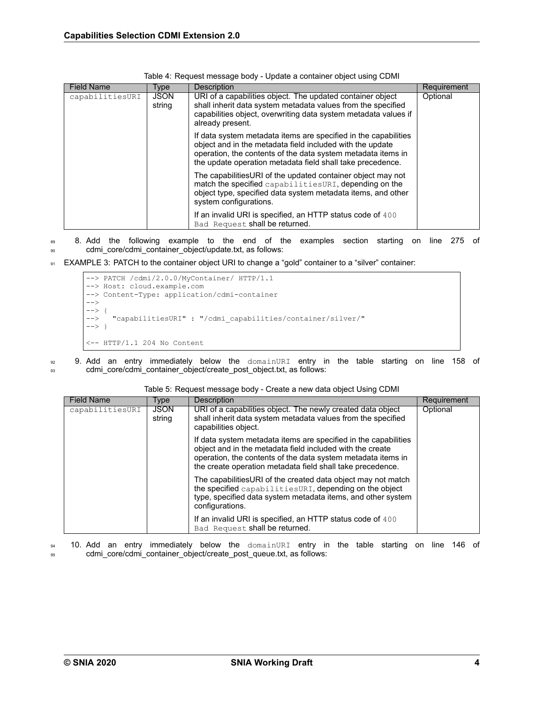| <b>Field Name</b> | Type                  | <b>Description</b>                                                                                                                                                                                                                                         | Requirement |
|-------------------|-----------------------|------------------------------------------------------------------------------------------------------------------------------------------------------------------------------------------------------------------------------------------------------------|-------------|
| capabilitiesURI   | <b>JSON</b><br>string | URI of a capabilities object. The updated container object<br>shall inherit data system metadata values from the specified<br>capabilities object, overwriting data system metadata values if<br>already present.                                          | Optional    |
|                   |                       | If data system metadata items are specified in the capabilities<br>object and in the metadata field included with the update<br>operation, the contents of the data system metadata items in<br>the update operation metadata field shall take precedence. |             |
|                   |                       | The capabilities URI of the updated container object may not<br>match the specified capabilitiesURI, depending on the<br>object type, specified data system metadata items, and other<br>system configurations.                                            |             |
|                   |                       | If an invalid URI is specified, an HTTP status code of 400<br>Bad Request shall be returned.                                                                                                                                                               |             |

|  | Table 4: Request message body - Update a container object using CDMI |  |  |  |  |  |
|--|----------------------------------------------------------------------|--|--|--|--|--|
|--|----------------------------------------------------------------------|--|--|--|--|--|

89 8. Add the following example to the end of the examples section starting on line 275 of <sup>90</sup> cdmi\_core/cdmi\_container\_object/update.txt, as follows:

91 EXAMPLE 3: PATCH to the container object URI to change a "gold" container to a "silver" container:



92 9. Add an entry immediately below the domainURI entry in the table starting on line 158 of 93 cdmi\_core/cdmi\_container\_object/create\_post\_object.txt, as follows:

| <b>Field Name</b> | Type                  | Description                                                                                                                                                                                                                                                | Requirement |
|-------------------|-----------------------|------------------------------------------------------------------------------------------------------------------------------------------------------------------------------------------------------------------------------------------------------------|-------------|
| capabilitiesURI   | <b>JSON</b><br>string | URI of a capabilities object. The newly created data object<br>shall inherit data system metadata values from the specified<br>capabilities object.                                                                                                        | Optional    |
|                   |                       | If data system metadata items are specified in the capabilities<br>object and in the metadata field included with the create<br>operation, the contents of the data system metadata items in<br>the create operation metadata field shall take precedence. |             |
|                   |                       | The capabilitiesURI of the created data object may not match<br>the specified capabilitiesURI, depending on the object<br>type, specified data system metadata items, and other system<br>configurations.                                                  |             |
|                   |                       | If an invalid URI is specified, an HTTP status code of 400<br>Bad Request shall be returned.                                                                                                                                                               |             |

#### Table 5: Request message body - Create a new data object Using CDMI

94 10. Add an entry immediately below the domainURI entry in the table starting on line 146 of <sup>95</sup> cdmi\_core/cdmi\_container\_object/create\_post\_queue.txt, as follows: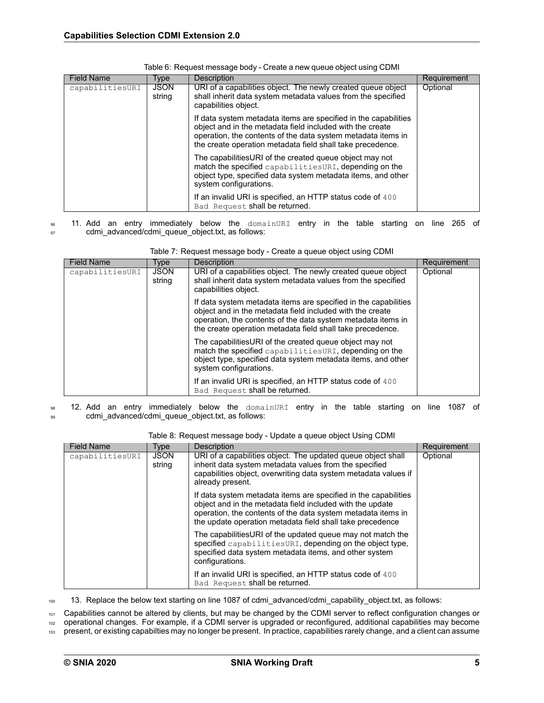| <b>Field Name</b> | Type                  | <b>Description</b>                                                                                                                                                                                                                                         | Requirement |
|-------------------|-----------------------|------------------------------------------------------------------------------------------------------------------------------------------------------------------------------------------------------------------------------------------------------------|-------------|
| capabilitiesURI   | <b>JSON</b><br>string | URI of a capabilities object. The newly created queue object<br>shall inherit data system metadata values from the specified<br>capabilities object.                                                                                                       | Optional    |
|                   |                       | If data system metadata items are specified in the capabilities<br>object and in the metadata field included with the create<br>operation, the contents of the data system metadata items in<br>the create operation metadata field shall take precedence. |             |
|                   |                       | The capabilitiesURI of the created queue object may not<br>match the specified capabilitiesURI, depending on the<br>object type, specified data system metadata items, and other<br>system configurations.                                                 |             |
|                   |                       | If an invalid URI is specified, an HTTP status code of 400<br>Bad Request shall be returned.                                                                                                                                                               |             |

| Table 6: Request message body - Create a new queue object using CDMI |  |  |
|----------------------------------------------------------------------|--|--|
|                                                                      |  |  |

<sup>96</sup> 11. Add an entry immediately below the domainURI entry in the table starting on line 265 of 97 cdmi\_advanced/cdmi\_queue\_object.txt, as follows:

| <b>Field Name</b> | Type                  | <b>Description</b>                                                                                                                                                                                                                                         | Requirement |
|-------------------|-----------------------|------------------------------------------------------------------------------------------------------------------------------------------------------------------------------------------------------------------------------------------------------------|-------------|
| capabilitiesURI   | <b>JSON</b><br>string | URI of a capabilities object. The newly created queue object<br>shall inherit data system metadata values from the specified<br>capabilities object.                                                                                                       | Optional    |
|                   |                       | If data system metadata items are specified in the capabilities<br>object and in the metadata field included with the create<br>operation, the contents of the data system metadata items in<br>the create operation metadata field shall take precedence. |             |
|                   |                       | The capabilitiesURI of the created queue object may not<br>match the specified capabilitiesURI, depending on the<br>object type, specified data system metadata items, and other<br>system configurations.                                                 |             |
|                   |                       | If an invalid URI is specified, an HTTP status code of 400<br>Bad Request shall be returned.                                                                                                                                                               |             |

Table 7: Request message body - Create a queue object using CDMI

98 12. Add an entry immediately below the domainURI entry in the table starting on line 1087 of 99 cdmi\_advanced/cdmi\_queue\_object.txt, as follows:

|  | Table 8: Request message body - Update a queue object Using CDMI |
|--|------------------------------------------------------------------|
|  |                                                                  |

| <b>Field Name</b> | Type                  | Description                                                                                                                                                                                                                                               | Requirement |
|-------------------|-----------------------|-----------------------------------------------------------------------------------------------------------------------------------------------------------------------------------------------------------------------------------------------------------|-------------|
| capabilitiesURI   | <b>JSON</b><br>string | URI of a capabilities object. The updated queue object shall<br>inherit data system metadata values from the specified<br>capabilities object, overwriting data system metadata values if<br>already present.                                             | Optional    |
|                   |                       | If data system metadata items are specified in the capabilities<br>object and in the metadata field included with the update<br>operation, the contents of the data system metadata items in<br>the update operation metadata field shall take precedence |             |
|                   |                       | The capabilities URI of the updated queue may not match the<br>specified capabilitiesURI, depending on the object type.<br>specified data system metadata items, and other system<br>configurations.                                                      |             |
|                   |                       | If an invalid URI is specified, an HTTP status code of 400<br>Bad Request shall be returned.                                                                                                                                                              |             |

100 13. Replace the below text starting on line 1087 of cdmi\_advanced/cdmi\_capability\_object.txt, as follows:

101 Capabilities cannot be altered by clients, but may be changed by the CDMI server to reflect configuration changes or

<sup>102</sup> operational changes. For example, if a CDMI server is upgraded or reconfigured, additional capabilities may become

103 present, or existing capabilties may no longer be present. In practice, capabilities rarely change, and a client can assume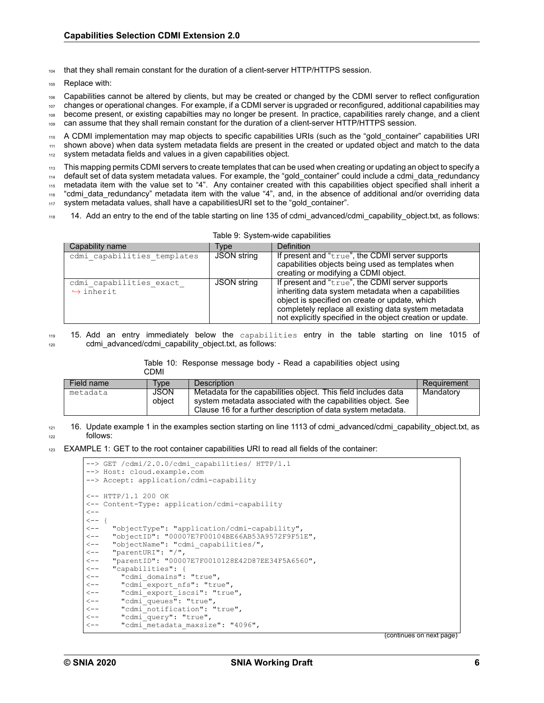<sup>104</sup> that they shall remain constant for the duration of a client-server HTTP/HTTPS session.

Replace with:

<sup>106</sup> Capabilities cannot be altered by clients, but may be created or changed by the CDMI server to reflect configuration

<sup>107</sup> changes or operational changes. For example, if a CDMI server is upgraded or reconfigured, additional capabilities may <sup>108</sup> become present, or existing capabilties may no longer be present. In practice, capabilities rarely change, and a client 109 can assume that they shall remain constant for the duration of a client-server HTTP/HTTPS session.

110 A CDMI implementation may map objects to specific capabilities URIs (such as the "gold container" capabilities URI <sup>111</sup> shown above) when data system metadata fields are present in the created or updated object and match to the data 112 system metadata fields and values in a given capabilities object.

<sup>113</sup> This mapping permits CDMI servers to create templates that can be used when creating or updating an object to specify a

<sup>114</sup> default set of data system metadata values. For example, the "gold\_container" could include a cdmi\_data\_redundancy

<sup>115</sup> metadata item with the value set to "4". Any container created with this capabilities object specified shall inherit a

116 "cdmi data redundancy" metadata item with the value "4", and, in the absence of additional and/or overriding data

- <sup>117</sup> system metadata values, shall have a capabilitiesURI set to the "gold\_container".
- 118 14. Add an entry to the end of the table starting on line 135 of cdmi\_advanced/cdmi\_capability\_object.txt, as follows:

| Capability name                                      | Tvpe        | Definition                                                                                                                                                                                                                                                                     |
|------------------------------------------------------|-------------|--------------------------------------------------------------------------------------------------------------------------------------------------------------------------------------------------------------------------------------------------------------------------------|
| cdmi capabilities templates                          | JSON string | If present and "true", the CDMI server supports<br>capabilities objects being used as templates when<br>creating or modifying a CDMI object.                                                                                                                                   |
| cdmi capabilities exact<br>$\leftrightarrow$ inherit | JSON string | If present and "true", the CDMI server supports<br>inheriting data system metadata when a capabilities<br>object is specified on create or update, which<br>completely replace all existing data system metadata<br>not explicitly specified in the object creation or update. |

Table 9: System-wide capabilities

<sup>119</sup> 15. Add an entry immediately below the capabilities entry in the table starting on line 1015 of <sup>120</sup> cdmi\_advanced/cdmi\_capability\_object.txt, as follows:

Table 10: Response message body - Read a capabilities object using

|            | CDMI                  |                                                                                                                                                                                                |             |
|------------|-----------------------|------------------------------------------------------------------------------------------------------------------------------------------------------------------------------------------------|-------------|
| Field name | Tvpe                  | <b>Description</b>                                                                                                                                                                             | Requirement |
| metadata   | <b>JSON</b><br>obiect | Metadata for the capabilities object. This field includes data<br>system metadata associated with the capabilities object. See<br>Clause 16 for a further description of data system metadata. | Mandatory   |

 $121$  16. Update example 1 in the examples section starting on line 1113 of cdmi\_advanced/cdmi\_capability\_object.txt, as <sup>122</sup> follows:

123 EXAMPLE 1: GET to the root container capabilities URI to read all fields of the container:

|                  | --> GET /cdmi/2.0.0/cdmi capabilities/ HTTP/1.1     |  |  |
|------------------|-----------------------------------------------------|--|--|
|                  | --> Host: cloud.example.com                         |  |  |
|                  | --> Accept: application/cdmi-capability             |  |  |
|                  |                                                     |  |  |
|                  | $\leftarrow$ - $\text{HTTP}/1.1$ 200 OK             |  |  |
|                  | <-- Content-Type: application/cdmi-capability       |  |  |
| $\leftarrow -$   |                                                     |  |  |
| $\leftarrow -$ { |                                                     |  |  |
|                  | <-- "objectType": "application/cdmi-capability",    |  |  |
|                  | <-- "objectID": "00007E7F00104BE66AB53A9572F9F51E", |  |  |
|                  | <-- "objectName": "cdmi capabilities/",             |  |  |
|                  | $\leftarrow -$ "parentURI": "/",                    |  |  |
| $\leftarrow$ $-$ | "parentID": "00007E7F0010128E42D87EE34F5A6560",     |  |  |
| $\leftarrow$ $-$ | "capabilities": {                                   |  |  |
| $\leftarrow$ $-$ | "cdmi domains": "true",                             |  |  |
| $\leftarrow$ $-$ | "cdmi export nfs": "true",                          |  |  |
| $\leftarrow$ $-$ | "cdmi export iscsi": "true",                        |  |  |
| $\leftarrow$ $-$ | "cdmi queues": "true",                              |  |  |
| $\prec$ - $\sim$ | "cdmi notification": "true",                        |  |  |
|                  | "cdmi query": "true",                               |  |  |
| $\leftarrow -$   | "cdmi metadata maxsize": "4096",                    |  |  |

(continues on next page)